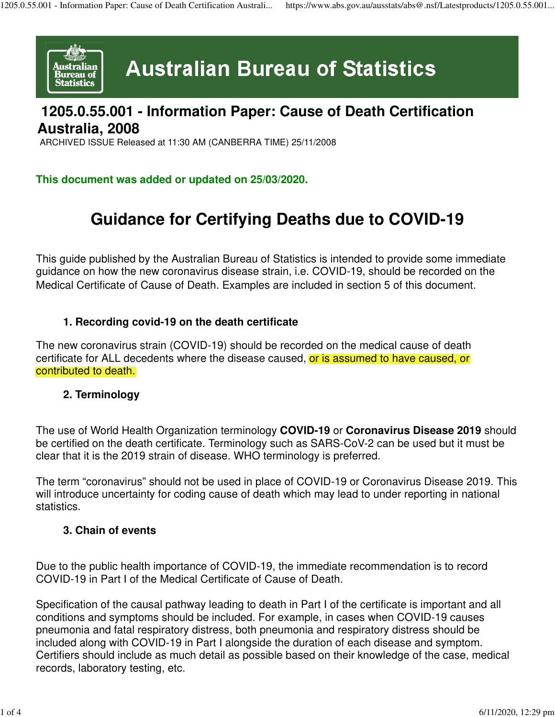

# **Australian Bureau of Statistics**

### **1205.0.55.001 - Information Paper: Cause of Death Certification Australia, 2008**

ARCHIVED ISSUE Released at 11:30 AM (CANBERRA TIME) 25/11/2008

#### **This document was added or updated on 25/03/2020.**

## **Guidance for Certifying Deaths due to COVID-19**

This guide published by the Australian Bureau of Statistics is intended to provide some immediate guidance on how the new coronavirus disease strain, i.e. COVID-19, should be recorded on the Medical Certificate of Cause of Death. Examples are included in section 5 of this document.

#### **1. Recording covid-19 on the death certificate**

The new coronavirus strain (COVID-19) should be recorded on the medical cause of death certificate for ALL decedents where the disease caused, or is assumed to have caused, or contributed to death.

#### **2. Terminology**

The use of World Health Organization terminology **COVID-19** or **Coronavirus Disease 2019** should be certified on the death certificate. Terminology such as SARS-CoV-2 can be used but it must be clear that it is the 2019 strain of disease. WHO terminology is preferred.

The term "coronavirus" should not be used in place of COVID-19 or Coronavirus Disease 2019. This will introduce uncertainty for coding cause of death which may lead to under reporting in national statistics.

#### **3. Chain of events**

Due to the public health importance of COVID-19, the immediate recommendation is to record COVID-19 in Part I of the Medical Certificate of Cause of Death.

Specification of the causal pathway leading to death in Part I of the certificate is important and all conditions and symptoms should be included. For example, in cases when COVID-19 causes pneumonia and fatal respiratory distress, both pneumonia and respiratory distress should be included along with COVID-19 in Part I alongside the duration of each disease and symptom. Certifiers should include as much detail as possible based on their knowledge of the case, medical records, laboratory testing, etc.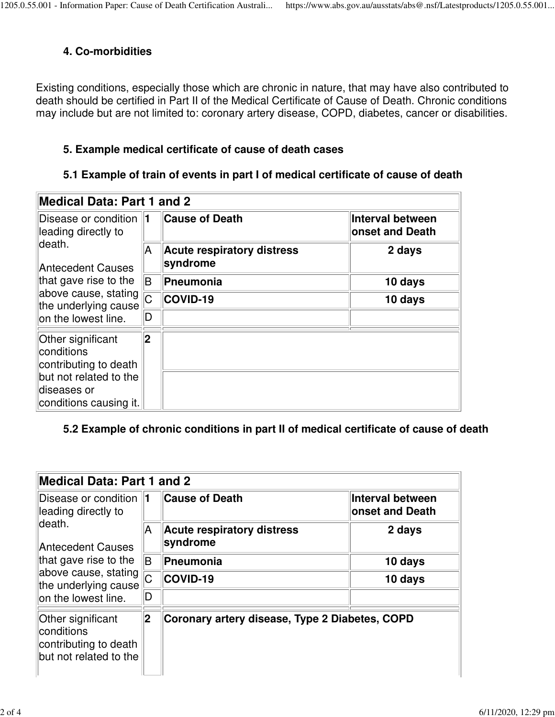#### **4. Co-morbidities**

Existing conditions, especially those which are chronic in nature, that may have also contributed to death should be certified in Part II of the Medical Certificate of Cause of Death. Chronic conditions may include but are not limited to: coronary artery disease, COPD, diabetes, cancer or disabilities.

#### **5. Example medical certificate of cause of death cases**

#### **5.1 Example of train of events in part I of medical certificate of cause of death**

| <b>Medical Data: Part 1 and 2</b>                                                                                                                                                   |     |                                               |                                            |  |  |
|-------------------------------------------------------------------------------------------------------------------------------------------------------------------------------------|-----|-----------------------------------------------|--------------------------------------------|--|--|
| Disease or condition 1<br>leading directly to<br>death.<br><b>Antecedent Causes</b><br>that gave rise to the<br>above cause, stating<br>the underlying cause<br>on the lowest line. |     | <b>Cause of Death</b>                         | Interval between<br><b>onset and Death</b> |  |  |
|                                                                                                                                                                                     | A   | <b>Acute respiratory distress</b><br>syndrome | 2 days                                     |  |  |
|                                                                                                                                                                                     | lB. | Pneumonia                                     | 10 days                                    |  |  |
|                                                                                                                                                                                     | Ċ.  | COVID-19                                      | 10 days                                    |  |  |
|                                                                                                                                                                                     | D   |                                               |                                            |  |  |
| Other significant<br>conditions<br>contributing to death<br>but not related to the<br>diseases or<br>conditions causing it.                                                         | 2   |                                               |                                            |  |  |

#### **5.2 Example of chronic conditions in part II of medical certificate of cause of death**

| <b>Medical Data: Part 1 and 2</b>                                                                                                                                              |                |                                                |                                            |  |
|--------------------------------------------------------------------------------------------------------------------------------------------------------------------------------|----------------|------------------------------------------------|--------------------------------------------|--|
| Disease or condition 11<br>leading directly to<br>ldeath.<br>Antecedent Causes<br>that gave rise to the<br>above cause, stating<br>the underlying cause<br>on the lowest line. |                | <b>Cause of Death</b>                          | Interval between<br><b>Onset and Death</b> |  |
|                                                                                                                                                                                | A.             | Acute respiratory distress<br>syndrome         | 2 days                                     |  |
|                                                                                                                                                                                | lB.            | <b>Pneumonia</b>                               | 10 days                                    |  |
|                                                                                                                                                                                | $\overline{C}$ | COVID-19                                       | 10 days                                    |  |
|                                                                                                                                                                                | D              |                                                |                                            |  |
| Other significant<br>conditions<br>contributing to death<br>but not related to the                                                                                             | 2              | Coronary artery disease, Type 2 Diabetes, COPD |                                            |  |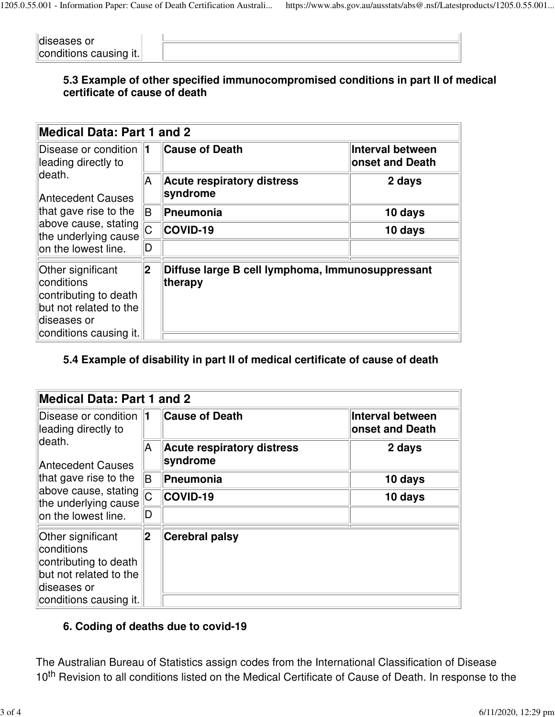| diseases or            |  |
|------------------------|--|
| conditions causing it. |  |

#### **5.3 Example of other specified immunocompromised conditions in part II of medical certificate of cause of death**

| <b>Medical Data: Part 1 and 2</b>                                                                                                                                                    |             |                                                             |                                     |  |
|--------------------------------------------------------------------------------------------------------------------------------------------------------------------------------------|-------------|-------------------------------------------------------------|-------------------------------------|--|
| Disease or condition 1<br>leading directly to<br>ldeath.<br><b>Antecedent Causes</b><br>that gave rise to the<br>above cause, stating<br>the underlying cause<br>on the lowest line. |             | <b>Cause of Death</b>                                       | Interval between<br>onset and Death |  |
|                                                                                                                                                                                      | A           | <b>Acute respiratory distress</b><br>syndrome               | 2 days                              |  |
|                                                                                                                                                                                      | lB.         | Pneumonia                                                   | 10 days                             |  |
|                                                                                                                                                                                      | Ċ.          | COVID-19                                                    | 10 days                             |  |
|                                                                                                                                                                                      | ID          |                                                             |                                     |  |
| Other significant<br>conditions<br>contributing to death<br>but not related to the<br>diseases or<br>conditions causing it.                                                          | $ 2\rangle$ | Diffuse large B cell lymphoma, Immunosuppressant<br>therapy |                                     |  |

#### **5.4 Example of disability in part II of medical certificate of cause of death**

| Medical Data: Part 1 and 2                                                                                                                                                    |                |                                               |                                            |  |  |
|-------------------------------------------------------------------------------------------------------------------------------------------------------------------------------|----------------|-----------------------------------------------|--------------------------------------------|--|--|
| Disease or condition 1<br>leading directly to<br>ldeath.<br>Antecedent Causes<br>that gave rise to the<br>above cause, stating<br>the underlying cause<br>on the lowest line. |                | <b>Cause of Death</b>                         | Interval between<br><b>onset and Death</b> |  |  |
|                                                                                                                                                                               | A              | <b>Acute respiratory distress</b><br>syndrome | 2 days                                     |  |  |
|                                                                                                                                                                               | ΙB.            | <b>Pneumonia</b>                              | 10 days                                    |  |  |
|                                                                                                                                                                               | $\overline{C}$ | $\ $ COVID-19                                 | 10 days                                    |  |  |
|                                                                                                                                                                               | D              |                                               |                                            |  |  |
| Other significant<br>conditions<br>contributing to death<br>but not related to the<br>diseases or<br>conditions causing it.                                                   | 2              | <b>Cerebral palsy</b>                         |                                            |  |  |
|                                                                                                                                                                               |                |                                               |                                            |  |  |

#### **6. Coding of deaths due to covid-19**

The Australian Bureau of Statistics assign codes from the International Classification of Disease 10<sup>th</sup> Revision to all conditions listed on the Medical Certificate of Cause of Death. In response to the